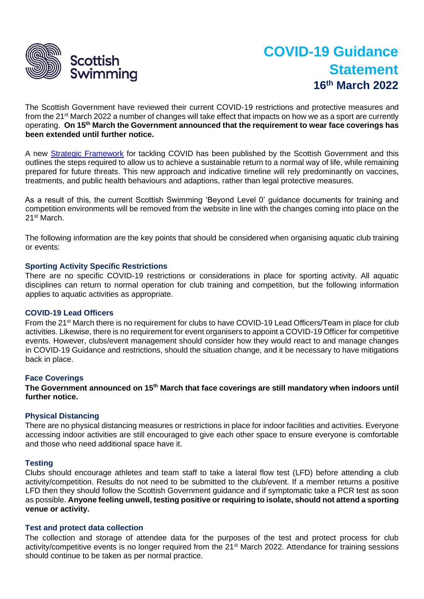

# **COVID-19 Guidance Statement 16 th March 2022**

The Scottish Government have reviewed their current COVID-19 restrictions and protective measures and from the 21<sup>st</sup> March 2022 a number of changes will take effect that impacts on how we as a sport are currently operating. **On 15th March the Government announced that the requirement to wear face coverings has been extended until further notice.**

A new [Strategic Framework](https://www.gov.scot/publications/coronavirus-covid-19-scotlands-strategic-framework-update-february-2022/) for tackling COVID has been published by the Scottish Government and this outlines the steps required to allow us to achieve a sustainable return to a normal way of life, while remaining prepared for future threats. This new approach and indicative timeline will rely predominantly on vaccines, treatments, and public health behaviours and adaptions, rather than legal protective measures.

As a result of this, the current Scottish Swimming 'Beyond Level 0' guidance documents for training and competition environments will be removed from the website in line with the changes coming into place on the 21st March.

The following information are the key points that should be considered when organising aquatic club training or events:

# **Sporting Activity Specific Restrictions**

There are no specific COVID-19 restrictions or considerations in place for sporting activity. All aquatic disciplines can return to normal operation for club training and competition, but the following information applies to aquatic activities as appropriate.

## **COVID-19 Lead Officers**

From the 21<sup>st</sup> March there is no requirement for clubs to have COVID-19 Lead Officers/Team in place for club activities. Likewise, there is no requirement for event organisers to appoint a COVID-19 Officer for competitive events. However, clubs/event management should consider how they would react to and manage changes in COVID-19 Guidance and restrictions, should the situation change, and it be necessary to have mitigations back in place.

## **Face Coverings**

**The Government announced on 15th March that face coverings are still mandatory when indoors until further notice.** 

## **Physical Distancing**

There are no physical distancing measures or restrictions in place for indoor facilities and activities. Everyone accessing indoor activities are still encouraged to give each other space to ensure everyone is comfortable and those who need additional space have it.

## **Testing**

Clubs should encourage athletes and team staff to take a lateral flow test (LFD) before attending a club activity/competition. Results do not need to be submitted to the club/event. If a member returns a positive LFD then they should follow the Scottish Government guidance and if symptomatic take a PCR test as soon as possible. **Anyone feeling unwell, testing positive or requiring to isolate, should not attend a sporting venue or activity.** 

## **Test and protect data collection**

The collection and storage of attendee data for the purposes of the test and protect process for club activity/competitive events is no longer required from the 21<sup>st</sup> March 2022. Attendance for training sessions should continue to be taken as per normal practice.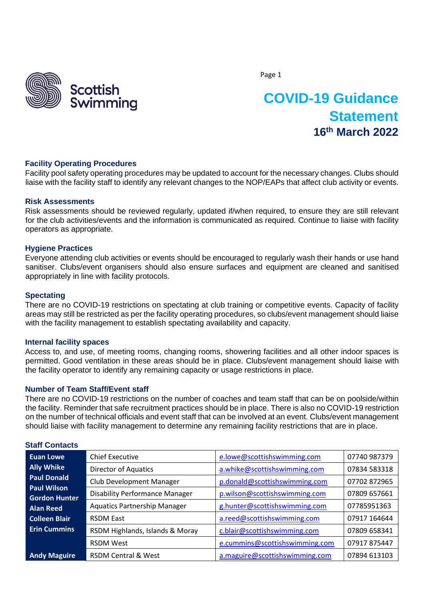

# **COVID-19 Guidance Statement 16th March 2022**

# **Facility Operating Procedures**

Facility pool safety operating procedures may be updated to account for the necessary changes. Clubs should liaise with the facility staff to identify any relevant changes to the NOP/EAPs that affect club activity or events.

#### **Risk Assessments**

Risk assessments should be reviewed regularly, updated if/when required, to ensure they are still relevant for the club activities/events and the information is communicated as required. Continue to liaise with facility operators as appropriate.

#### **Hygiene Practices**

Everyone attending club activities or events should be encouraged to regularly wash their hands or use hand sanitiser. Clubs/event organisers should also ensure surfaces and equipment are cleaned and sanitised appropriately in line with facility protocols.

#### **Spectating**

There are no COVID-19 restrictions on spectating at club training or competitive events. Capacity of facility areas may still be restricted as per the facility operating procedures, so clubs/event management should liaise with the facility management to establish spectating availability and capacity.

#### **Internal facility spaces**

Access to, and use, of meeting rooms, changing rooms, showering facilities and all other indoor spaces is permitted. Good ventilation in these areas should be in place. Clubs/event management should liaise with the facility operator to identify any remaining capacity or usage restrictions in place.

# **Number of Team Staff/Event staff**

There are no COVID-19 restrictions on the number of coaches and team staff that can be on poolside/within the facility. Reminder that safe recruitment practices should be in place. There is also no COVID-19 restriction on the number of technical officials and event staff that can be involved at an event. Clubs/event management should liaise with facility management to determine any remaining facility restrictions that are in place.

| <b>Euan Lowe</b>                           | <b>Chief Executive</b>                | e.lowe@scottishswimming.com    | 07740 987379 |
|--------------------------------------------|---------------------------------------|--------------------------------|--------------|
| <b>Ally Whike</b>                          | <b>Director of Aquatics</b>           | a.whike@scottishswimming.com   | 07834 583318 |
| <b>Paul Donald</b>                         | Club Development Manager              | p.donald@scottishswimming.com  | 07702 872965 |
| <b>Paul Wilson</b><br><b>Gordon Hunter</b> | <b>Disability Performance Manager</b> | p.wilson@scottishswimming.com  | 07809 657661 |
| <b>Alan Reed</b>                           | <b>Aquatics Partnership Manager</b>   | g.hunter@scottishswimming.com  | 07785951363  |
| <b>Colleen Blair</b>                       | <b>RSDM East</b>                      | a.reed@scottishswimming.com    | 07917 164644 |
| <b>Erin Cummins</b>                        | RSDM Highlands, Islands & Moray       | c.blair@scottishswimming.com   | 07809 658341 |
|                                            | <b>RSDM West</b>                      | e.cummins@scottishswimming.com | 07917 875447 |
| <b>Andy Maguire</b>                        | <b>RSDM Central &amp; West</b>        | a.maguire@scottishswimming.com | 07894 613103 |

# **Staff Contacts**

Page 1